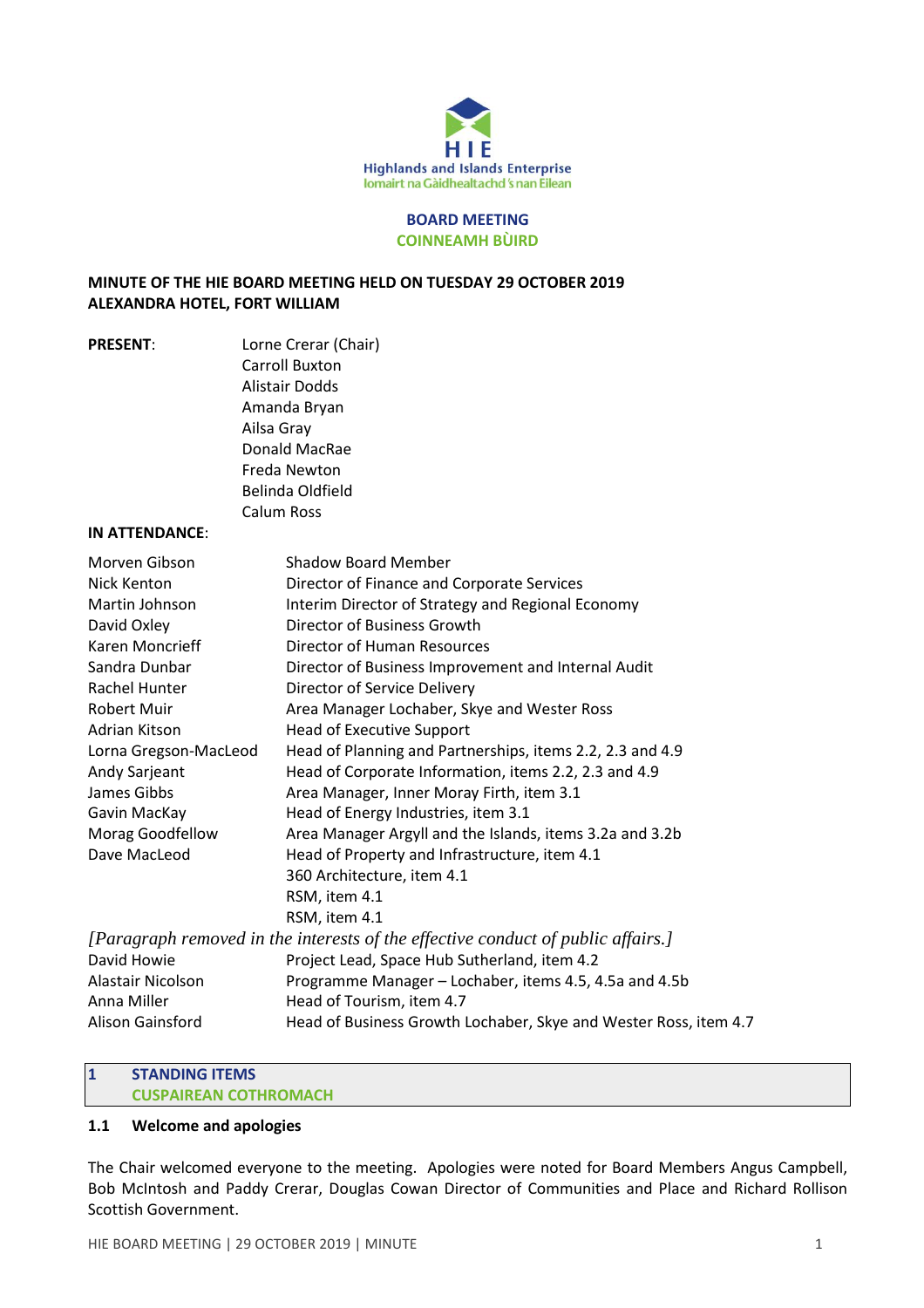

#### **BOARD MEETING COINNEAMH BÙIRD**

### **MINUTE OF THE HIE BOARD MEETING HELD ON TUESDAY 29 OCTOBER 2019 ALEXANDRA HOTEL, FORT WILLIAM**

| <b>PRESENT:</b> | Lorne Crerar (Chair) |
|-----------------|----------------------|
|                 | Carroll Buxton       |
|                 | Alistair Dodds       |
|                 | Amanda Bryan         |
|                 | Ailsa Gray           |
|                 | Donald MacRae        |
|                 | Freda Newton         |
|                 | Belinda Oldfield     |
|                 | Calum Ross           |

#### **IN ATTENDANCE**:

| Morven Gibson         | Shadow Board Member                                                              |
|-----------------------|----------------------------------------------------------------------------------|
| Nick Kenton           | Director of Finance and Corporate Services                                       |
| Martin Johnson        | Interim Director of Strategy and Regional Economy                                |
| David Oxley           | Director of Business Growth                                                      |
| Karen Moncrieff       | Director of Human Resources                                                      |
| Sandra Dunbar         | Director of Business Improvement and Internal Audit                              |
| Rachel Hunter         | Director of Service Delivery                                                     |
| <b>Robert Muir</b>    | Area Manager Lochaber, Skye and Wester Ross                                      |
| Adrian Kitson         | <b>Head of Executive Support</b>                                                 |
| Lorna Gregson-MacLeod | Head of Planning and Partnerships, items 2.2, 2.3 and 4.9                        |
| Andy Sarjeant         | Head of Corporate Information, items 2.2, 2.3 and 4.9                            |
| James Gibbs           | Area Manager, Inner Moray Firth, item 3.1                                        |
| Gavin MacKay          | Head of Energy Industries, item 3.1                                              |
| Morag Goodfellow      | Area Manager Argyll and the Islands, items 3.2a and 3.2b                         |
| Dave MacLeod          | Head of Property and Infrastructure, item 4.1                                    |
|                       | 360 Architecture, item 4.1                                                       |
|                       | RSM, item 4.1                                                                    |
|                       | RSM, item 4.1                                                                    |
|                       | [Paragraph removed in the interests of the effective conduct of public affairs.] |
| David Howie           | Project Lead, Space Hub Sutherland, item 4.2                                     |
| Alastair Nicolson     | Programme Manager - Lochaber, items 4.5, 4.5a and 4.5b                           |
| Anna Miller           | Head of Tourism, item 4.7                                                        |
| Alison Gainsford      | Head of Business Growth Lochaber, Skye and Wester Ross, item 4.7                 |

### **1 STANDING ITEMS CUSPAIREAN COTHROMACH**

### **1.1 Welcome and apologies**

The Chair welcomed everyone to the meeting. Apologies were noted for Board Members Angus Campbell, Bob McIntosh and Paddy Crerar, Douglas Cowan Director of Communities and Place and Richard Rollison Scottish Government.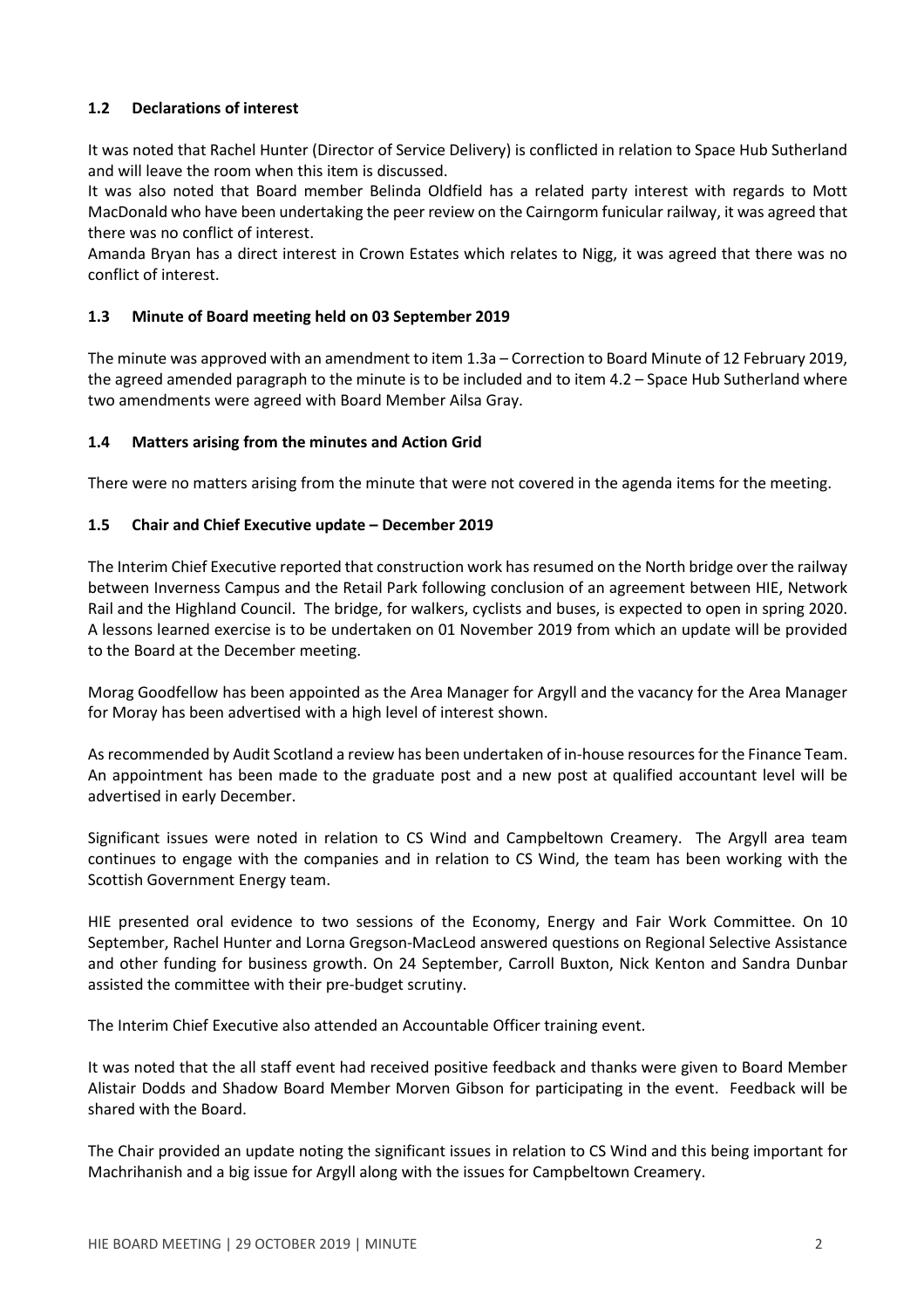# **1.2 Declarations of interest**

It was noted that Rachel Hunter (Director of Service Delivery) is conflicted in relation to Space Hub Sutherland and will leave the room when this item is discussed.

It was also noted that Board member Belinda Oldfield has a related party interest with regards to Mott MacDonald who have been undertaking the peer review on the Cairngorm funicular railway, it was agreed that there was no conflict of interest.

Amanda Bryan has a direct interest in Crown Estates which relates to Nigg, it was agreed that there was no conflict of interest.

# **1.3 Minute of Board meeting held on 03 September 2019**

The minute was approved with an amendment to item 1.3a – Correction to Board Minute of 12 February 2019, the agreed amended paragraph to the minute is to be included and to item 4.2 – Space Hub Sutherland where two amendments were agreed with Board Member Ailsa Gray.

# **1.4 Matters arising from the minutes and Action Grid**

There were no matters arising from the minute that were not covered in the agenda items for the meeting.

# **1.5 Chair and Chief Executive update – December 2019**

The Interim Chief Executive reported that construction work hasresumed on the North bridge over the railway between Inverness Campus and the Retail Park following conclusion of an agreement between HIE, Network Rail and the Highland Council. The bridge, for walkers, cyclists and buses, is expected to open in spring 2020. A lessons learned exercise is to be undertaken on 01 November 2019 from which an update will be provided to the Board at the December meeting.

Morag Goodfellow has been appointed as the Area Manager for Argyll and the vacancy for the Area Manager for Moray has been advertised with a high level of interest shown.

Asrecommended by Audit Scotland a review has been undertaken of in-house resourcesfor the Finance Team. An appointment has been made to the graduate post and a new post at qualified accountant level will be advertised in early December.

Significant issues were noted in relation to CS Wind and Campbeltown Creamery. The Argyll area team continues to engage with the companies and in relation to CS Wind, the team has been working with the Scottish Government Energy team.

HIE presented oral evidence to two sessions of the Economy, Energy and Fair Work Committee. On 10 September, Rachel Hunter and Lorna Gregson-MacLeod answered questions on Regional Selective Assistance and other funding for business growth. On 24 September, Carroll Buxton, Nick Kenton and Sandra Dunbar assisted the committee with their pre-budget scrutiny.

The Interim Chief Executive also attended an Accountable Officer training event.

It was noted that the all staff event had received positive feedback and thanks were given to Board Member Alistair Dodds and Shadow Board Member Morven Gibson for participating in the event. Feedback will be shared with the Board.

The Chair provided an update noting the significant issues in relation to CS Wind and this being important for Machrihanish and a big issue for Argyll along with the issues for Campbeltown Creamery.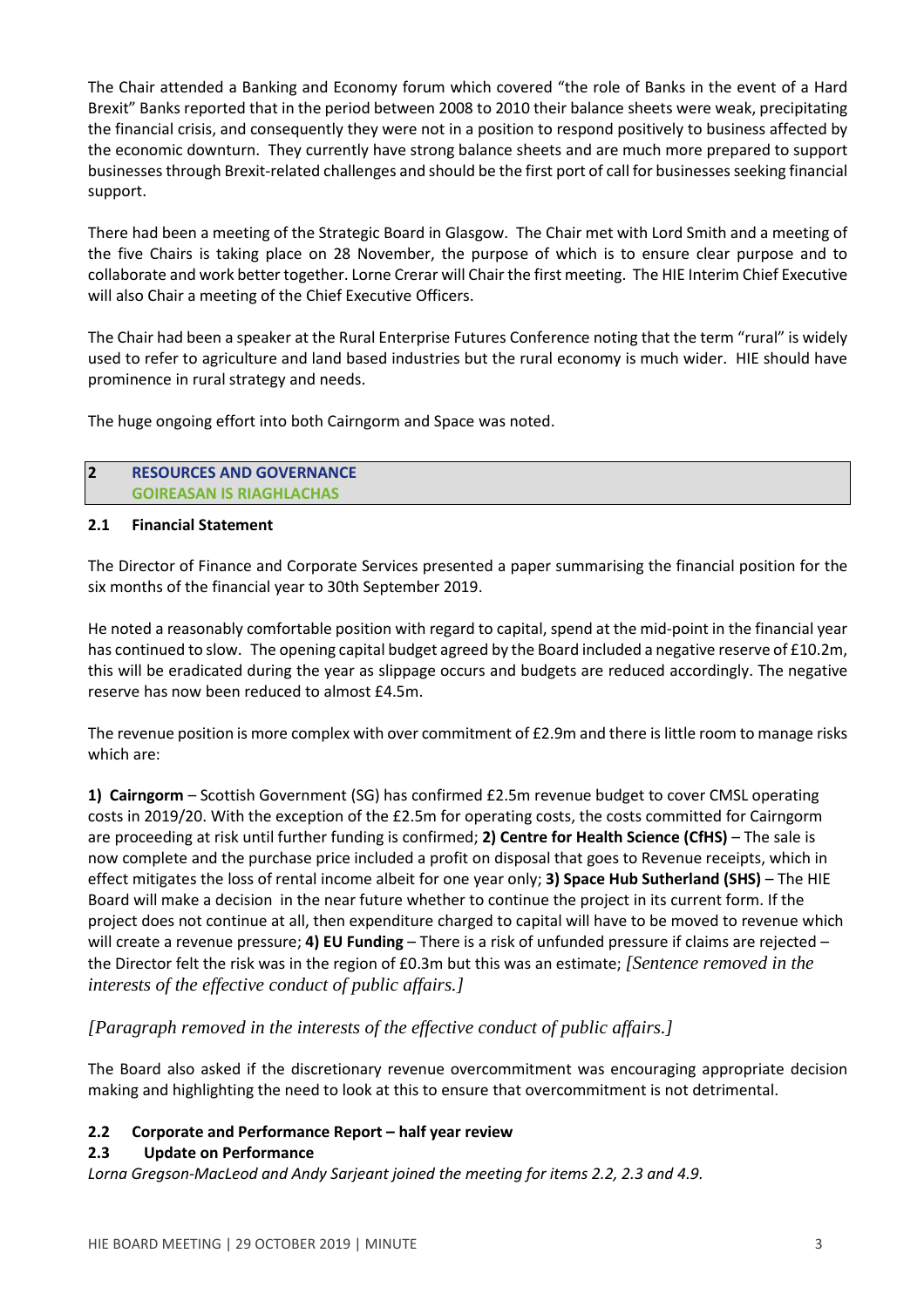The Chair attended a Banking and Economy forum which covered "the role of Banks in the event of a Hard Brexit" Banks reported that in the period between 2008 to 2010 their balance sheets were weak, precipitating the financial crisis, and consequently they were not in a position to respond positively to business affected by the economic downturn. They currently have strong balance sheets and are much more prepared to support businesses through Brexit-related challenges and should be the first port of call for businesses seeking financial support.

There had been a meeting of the Strategic Board in Glasgow. The Chair met with Lord Smith and a meeting of the five Chairs is taking place on 28 November, the purpose of which is to ensure clear purpose and to collaborate and work better together. Lorne Crerar will Chair the first meeting. The HIE Interim Chief Executive will also Chair a meeting of the Chief Executive Officers.

The Chair had been a speaker at the Rural Enterprise Futures Conference noting that the term "rural" is widely used to refer to agriculture and land based industries but the rural economy is much wider. HIE should have prominence in rural strategy and needs.

The huge ongoing effort into both Cairngorm and Space was noted.

### **2 RESOURCES AND GOVERNANCE GOIREASAN IS RIAGHLACHAS**

### **2.1 Financial Statement**

The Director of Finance and Corporate Services presented a paper summarising the financial position for the six months of the financial year to 30th September 2019.

He noted a reasonably comfortable position with regard to capital, spend at the mid-point in the financial year has continued to slow. The opening capital budget agreed by the Board included a negative reserve of £10.2m, this will be eradicated during the year as slippage occurs and budgets are reduced accordingly. The negative reserve has now been reduced to almost £4.5m.

The revenue position is more complex with over commitment of £2.9m and there is little room to manage risks which are:

**1) Cairngorm** – Scottish Government (SG) has confirmed £2.5m revenue budget to cover CMSL operating costs in 2019/20. With the exception of the £2.5m for operating costs, the costs committed for Cairngorm are proceeding at risk until further funding is confirmed; **2) Centre for Health Science (CfHS)** – The sale is now complete and the purchase price included a profit on disposal that goes to Revenue receipts, which in effect mitigates the loss of rental income albeit for one year only; **3) Space Hub Sutherland (SHS)** – The HIE Board will make a decision in the near future whether to continue the project in its current form. If the project does not continue at all, then expenditure charged to capital will have to be moved to revenue which will create a revenue pressure; **4) EU Funding** – There is a risk of unfunded pressure if claims are rejected – the Director felt the risk was in the region of £0.3m but this was an estimate; *[Sentence removed in the interests of the effective conduct of public affairs.]*

# *[Paragraph removed in the interests of the effective conduct of public affairs.]*

The Board also asked if the discretionary revenue overcommitment was encouraging appropriate decision making and highlighting the need to look at this to ensure that overcommitment is not detrimental.

# **2.2 Corporate and Performance Report – half year review**

# **2.3 Update on Performance**

*Lorna Gregson-MacLeod and Andy Sarjeant joined the meeting for items 2.2, 2.3 and 4.9.*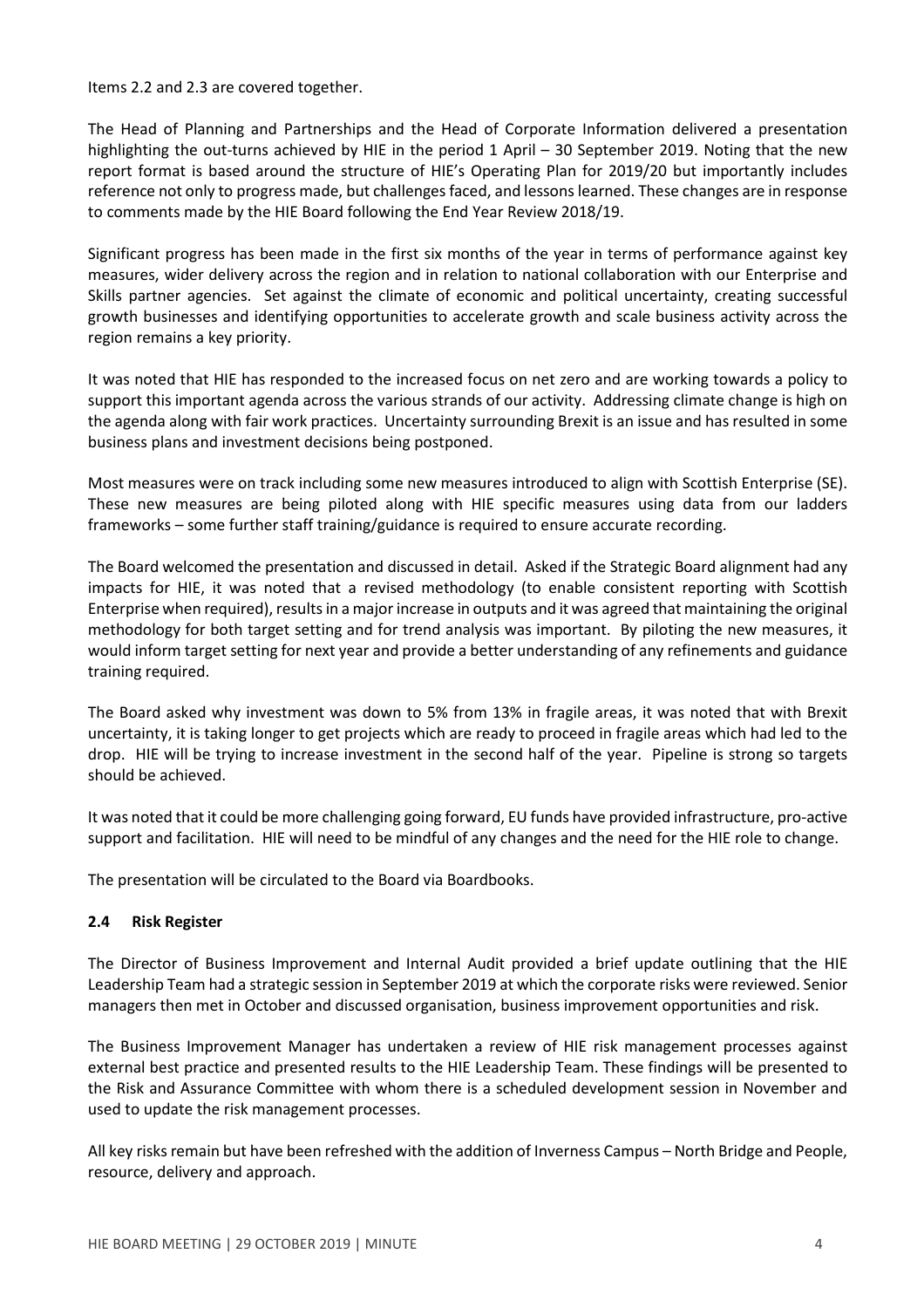Items 2.2 and 2.3 are covered together.

The Head of Planning and Partnerships and the Head of Corporate Information delivered a presentation highlighting the out-turns achieved by HIE in the period 1 April – 30 September 2019. Noting that the new report format is based around the structure of HIE's Operating Plan for 2019/20 but importantly includes reference not only to progress made, but challenges faced, and lessonslearned. These changes are in response to comments made by the HIE Board following the End Year Review 2018/19.

Significant progress has been made in the first six months of the year in terms of performance against key measures, wider delivery across the region and in relation to national collaboration with our Enterprise and Skills partner agencies. Set against the climate of economic and political uncertainty, creating successful growth businesses and identifying opportunities to accelerate growth and scale business activity across the region remains a key priority.

It was noted that HIE has responded to the increased focus on net zero and are working towards a policy to support this important agenda across the various strands of our activity. Addressing climate change is high on the agenda along with fair work practices. Uncertainty surrounding Brexit is an issue and has resulted in some business plans and investment decisions being postponed.

Most measures were on track including some new measures introduced to align with Scottish Enterprise (SE). These new measures are being piloted along with HIE specific measures using data from our ladders frameworks – some further staff training/guidance is required to ensure accurate recording.

The Board welcomed the presentation and discussed in detail. Asked if the Strategic Board alignment had any impacts for HIE, it was noted that a revised methodology (to enable consistent reporting with Scottish Enterprise when required), results in a major increase in outputs and it was agreed that maintaining the original methodology for both target setting and for trend analysis was important. By piloting the new measures, it would inform target setting for next year and provide a better understanding of any refinements and guidance training required.

The Board asked why investment was down to 5% from 13% in fragile areas, it was noted that with Brexit uncertainty, it is taking longer to get projects which are ready to proceed in fragile areas which had led to the drop. HIE will be trying to increase investment in the second half of the year. Pipeline is strong so targets should be achieved.

It was noted that it could be more challenging going forward, EU funds have provided infrastructure, pro-active support and facilitation. HIE will need to be mindful of any changes and the need for the HIE role to change.

The presentation will be circulated to the Board via Boardbooks.

# **2.4 Risk Register**

The Director of Business Improvement and Internal Audit provided a brief update outlining that the HIE Leadership Team had a strategic session in September 2019 at which the corporate risks were reviewed. Senior managers then met in October and discussed organisation, business improvement opportunities and risk.

The Business Improvement Manager has undertaken a review of HIE risk management processes against external best practice and presented results to the HIE Leadership Team. These findings will be presented to the Risk and Assurance Committee with whom there is a scheduled development session in November and used to update the risk management processes.

All key risks remain but have been refreshed with the addition of Inverness Campus – North Bridge and People, resource, delivery and approach.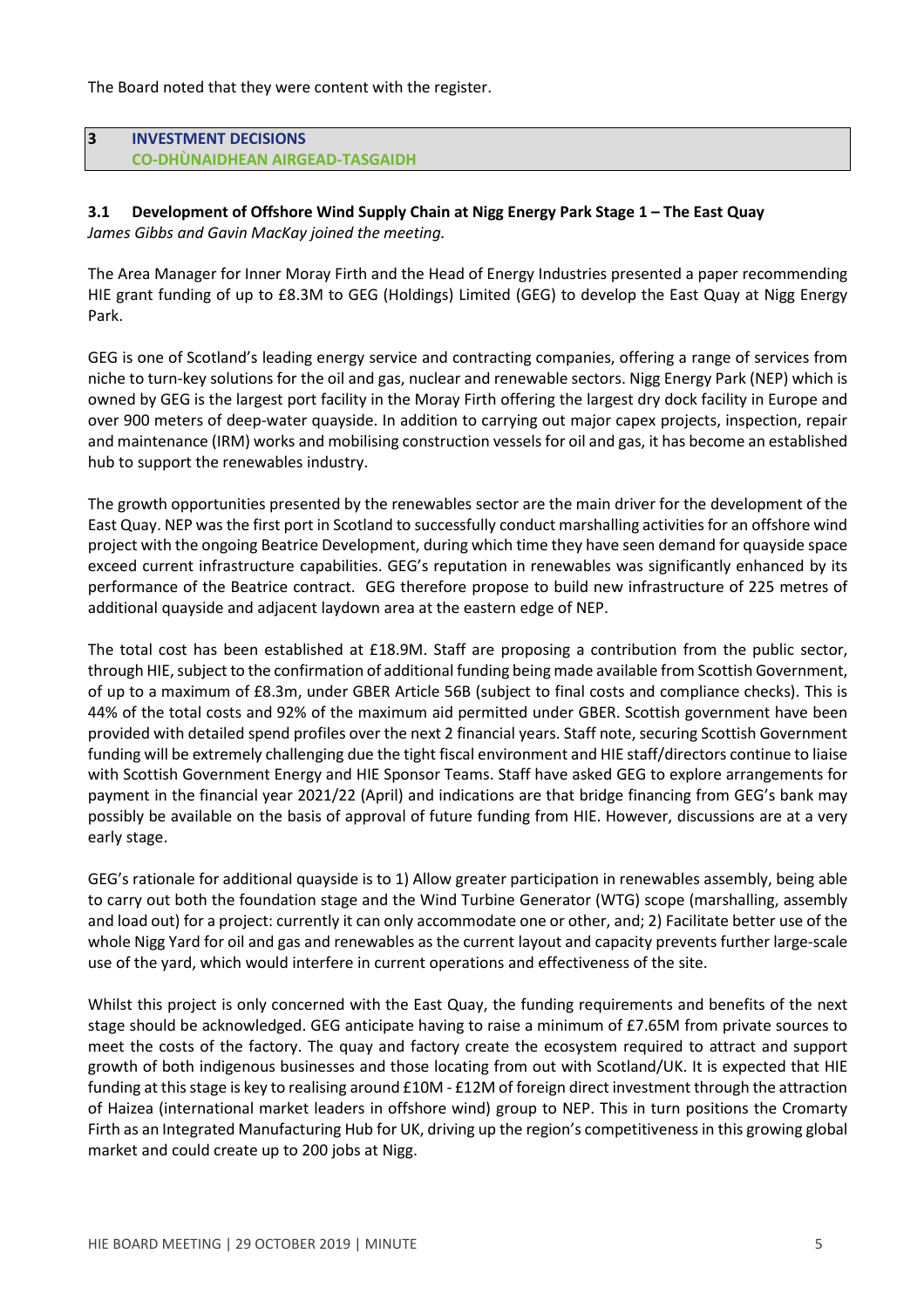The Board noted that they were content with the register.

### **3 INVESTMENT DECISIONS CO-DHÙNAIDHEAN AIRGEAD-TASGAIDH**

#### **3.1 Development of Offshore Wind Supply Chain at Nigg Energy Park Stage 1 – The East Quay** *James Gibbs and Gavin MacKay joined the meeting.*

The Area Manager for Inner Moray Firth and the Head of Energy Industries presented a paper recommending HIE grant funding of up to £8.3M to GEG (Holdings) Limited (GEG) to develop the East Quay at Nigg Energy Park.

GEG is one of Scotland's leading energy service and contracting companies, offering a range of services from niche to turn-key solutions for the oil and gas, nuclear and renewable sectors. Nigg Energy Park (NEP) which is owned by GEG is the largest port facility in the Moray Firth offering the largest dry dock facility in Europe and over 900 meters of deep-water quayside. In addition to carrying out major capex projects, inspection, repair and maintenance (IRM) works and mobilising construction vessels for oil and gas, it has become an established hub to support the renewables industry.

The growth opportunities presented by the renewables sector are the main driver for the development of the East Quay. NEP was the first port in Scotland to successfully conduct marshalling activities for an offshore wind project with the ongoing Beatrice Development, during which time they have seen demand for quayside space exceed current infrastructure capabilities. GEG's reputation in renewables was significantly enhanced by its performance of the Beatrice contract. GEG therefore propose to build new infrastructure of 225 metres of additional quayside and adjacent laydown area at the eastern edge of NEP.

The total cost has been established at £18.9M. Staff are proposing a contribution from the public sector, through HIE, subject to the confirmation of additional funding being made available from Scottish Government, of up to a maximum of £8.3m, under GBER Article 56B (subject to final costs and compliance checks). This is 44% of the total costs and 92% of the maximum aid permitted under GBER. Scottish government have been provided with detailed spend profiles over the next 2 financial years. Staff note, securing Scottish Government funding will be extremely challenging due the tight fiscal environment and HIE staff/directors continue to liaise with Scottish Government Energy and HIE Sponsor Teams. Staff have asked GEG to explore arrangements for payment in the financial year 2021/22 (April) and indications are that bridge financing from GEG's bank may possibly be available on the basis of approval of future funding from HIE. However, discussions are at a very early stage.

GEG's rationale for additional quayside is to 1) Allow greater participation in renewables assembly, being able to carry out both the foundation stage and the Wind Turbine Generator (WTG) scope (marshalling, assembly and load out) for a project: currently it can only accommodate one or other, and; 2) Facilitate better use of the whole Nigg Yard for oil and gas and renewables as the current layout and capacity prevents further large-scale use of the yard, which would interfere in current operations and effectiveness of the site.

Whilst this project is only concerned with the East Quay, the funding requirements and benefits of the next stage should be acknowledged. GEG anticipate having to raise a minimum of £7.65M from private sources to meet the costs of the factory. The quay and factory create the ecosystem required to attract and support growth of both indigenous businesses and those locating from out with Scotland/UK. It is expected that HIE funding at this stage is key to realising around £10M - £12M of foreign direct investment through the attraction of Haizea (international market leaders in offshore wind) group to NEP. This in turn positions the Cromarty Firth as an Integrated Manufacturing Hub for UK, driving up the region's competitivenessin this growing global market and could create up to 200 jobs at Nigg.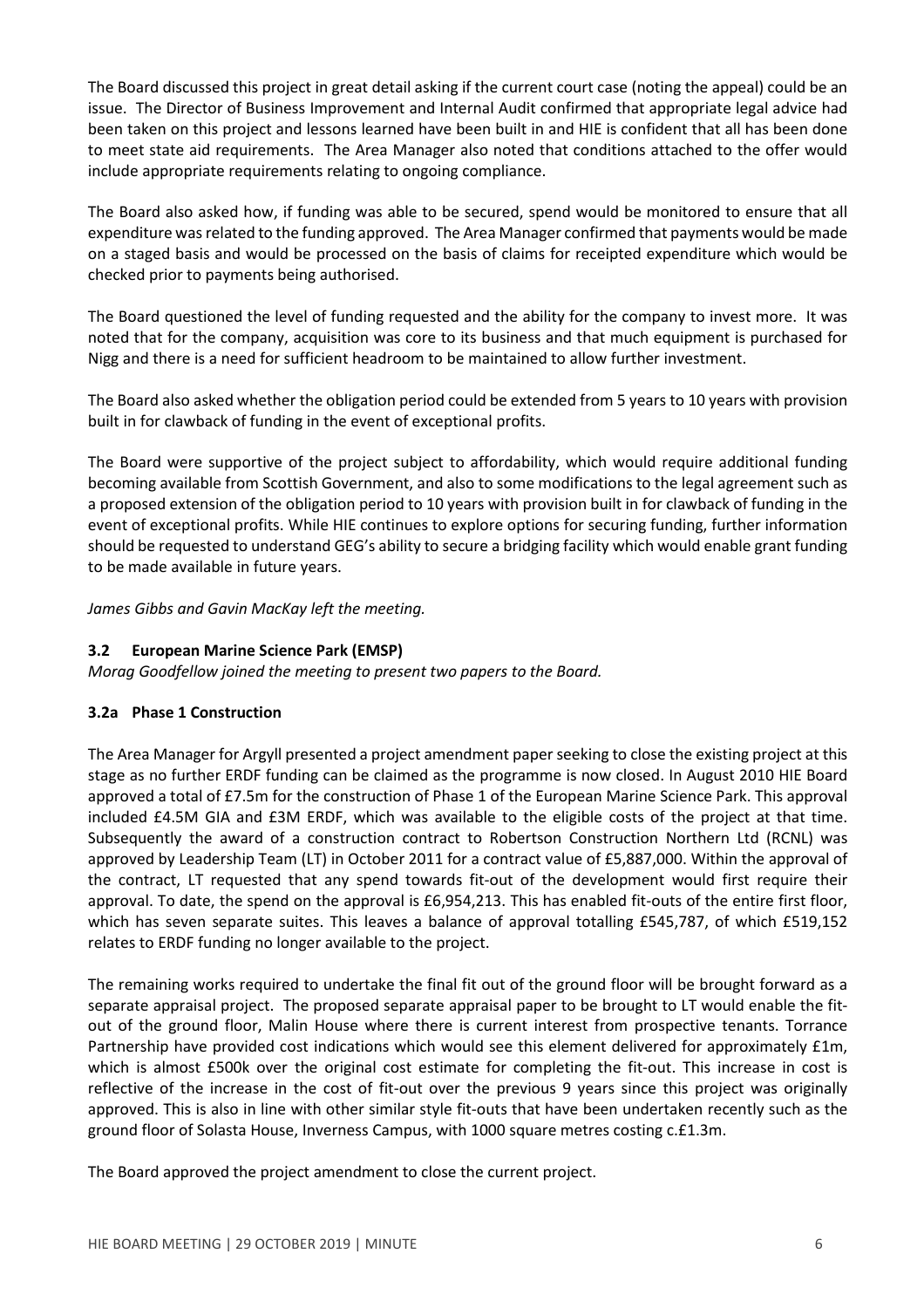The Board discussed this project in great detail asking if the current court case (noting the appeal) could be an issue. The Director of Business Improvement and Internal Audit confirmed that appropriate legal advice had been taken on this project and lessons learned have been built in and HIE is confident that all has been done to meet state aid requirements. The Area Manager also noted that conditions attached to the offer would include appropriate requirements relating to ongoing compliance.

The Board also asked how, if funding was able to be secured, spend would be monitored to ensure that all expenditure was related to the funding approved. The Area Manager confirmed that payments would be made on a staged basis and would be processed on the basis of claims for receipted expenditure which would be checked prior to payments being authorised.

The Board questioned the level of funding requested and the ability for the company to invest more. It was noted that for the company, acquisition was core to its business and that much equipment is purchased for Nigg and there is a need for sufficient headroom to be maintained to allow further investment.

The Board also asked whether the obligation period could be extended from 5 years to 10 years with provision built in for clawback of funding in the event of exceptional profits.

The Board were supportive of the project subject to affordability, which would require additional funding becoming available from Scottish Government, and also to some modifications to the legal agreement such as a proposed extension of the obligation period to 10 years with provision built in for clawback of funding in the event of exceptional profits. While HIE continues to explore options for securing funding, further information should be requested to understand GEG's ability to secure a bridging facility which would enable grant funding to be made available in future years.

*James Gibbs and Gavin MacKay left the meeting.*

# **3.2 European Marine Science Park (EMSP)**

*Morag Goodfellow joined the meeting to present two papers to the Board.*

# **3.2a Phase 1 Construction**

The Area Manager for Argyll presented a project amendment paper seeking to close the existing project at this stage as no further ERDF funding can be claimed as the programme is now closed. In August 2010 HIE Board approved a total of £7.5m for the construction of Phase 1 of the European Marine Science Park. This approval included £4.5M GIA and £3M ERDF, which was available to the eligible costs of the project at that time. Subsequently the award of a construction contract to Robertson Construction Northern Ltd (RCNL) was approved by Leadership Team (LT) in October 2011 for a contract value of £5,887,000. Within the approval of the contract, LT requested that any spend towards fit-out of the development would first require their approval. To date, the spend on the approval is £6,954,213. This has enabled fit-outs of the entire first floor, which has seven separate suites. This leaves a balance of approval totalling £545,787, of which £519,152 relates to ERDF funding no longer available to the project.

The remaining works required to undertake the final fit out of the ground floor will be brought forward as a separate appraisal project. The proposed separate appraisal paper to be brought to LT would enable the fitout of the ground floor, Malin House where there is current interest from prospective tenants. Torrance Partnership have provided cost indications which would see this element delivered for approximately £1m, which is almost £500k over the original cost estimate for completing the fit-out. This increase in cost is reflective of the increase in the cost of fit-out over the previous 9 years since this project was originally approved. This is also in line with other similar style fit-outs that have been undertaken recently such as the ground floor of Solasta House, Inverness Campus, with 1000 square metres costing c.£1.3m.

The Board approved the project amendment to close the current project.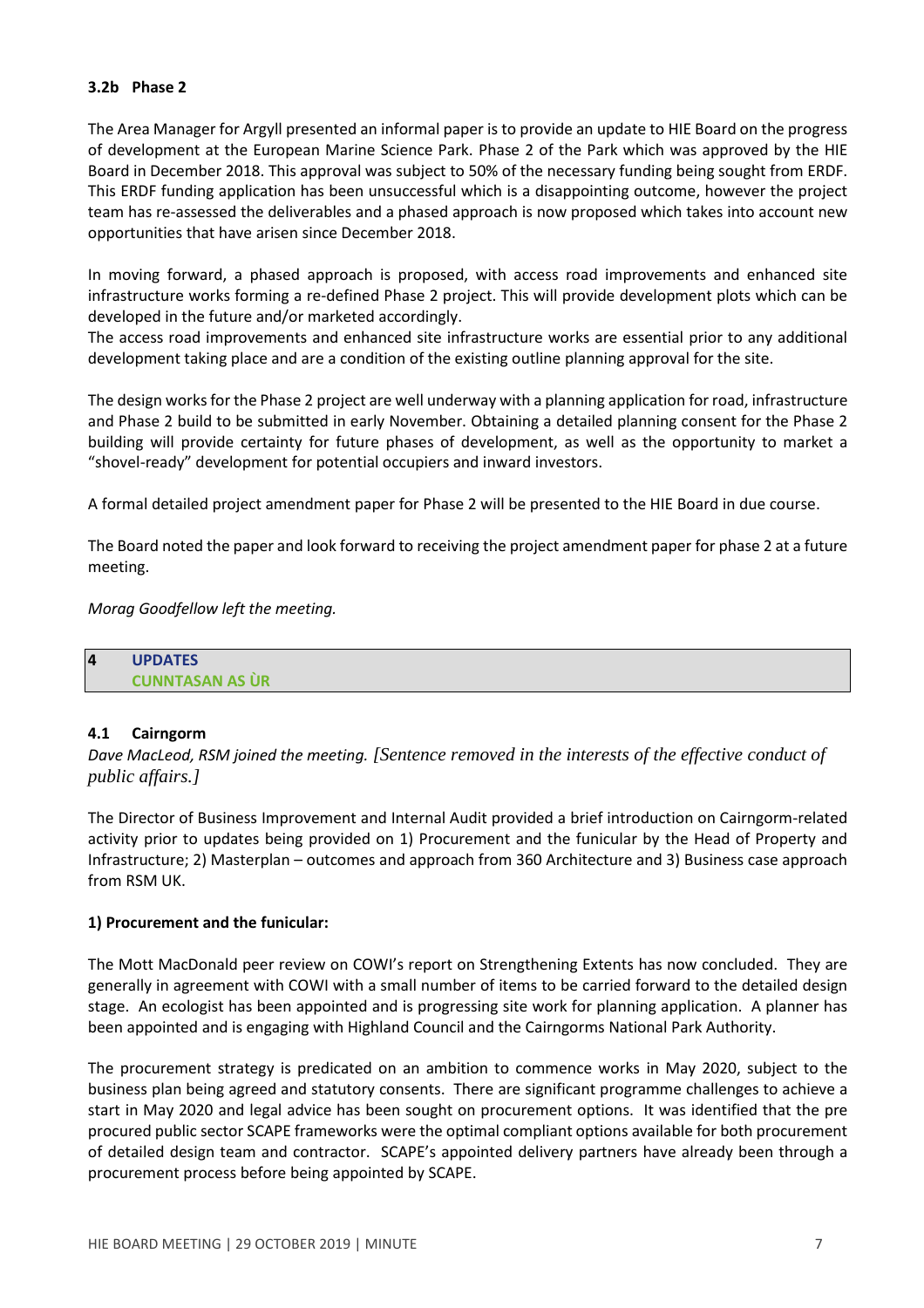### **3.2b Phase 2**

The Area Manager for Argyll presented an informal paper is to provide an update to HIE Board on the progress of development at the European Marine Science Park. Phase 2 of the Park which was approved by the HIE Board in December 2018. This approval was subject to 50% of the necessary funding being sought from ERDF. This ERDF funding application has been unsuccessful which is a disappointing outcome, however the project team has re-assessed the deliverables and a phased approach is now proposed which takes into account new opportunities that have arisen since December 2018.

In moving forward, a phased approach is proposed, with access road improvements and enhanced site infrastructure works forming a re-defined Phase 2 project. This will provide development plots which can be developed in the future and/or marketed accordingly.

The access road improvements and enhanced site infrastructure works are essential prior to any additional development taking place and are a condition of the existing outline planning approval for the site.

The design works for the Phase 2 project are well underway with a planning application for road, infrastructure and Phase 2 build to be submitted in early November. Obtaining a detailed planning consent for the Phase 2 building will provide certainty for future phases of development, as well as the opportunity to market a "shovel-ready" development for potential occupiers and inward investors.

A formal detailed project amendment paper for Phase 2 will be presented to the HIE Board in due course.

The Board noted the paper and look forward to receiving the project amendment paper for phase 2 at a future meeting.

*Morag Goodfellow left the meeting.*

| $\overline{a}$ | <b>UPDATES</b>         |
|----------------|------------------------|
|                | <b>CUNNTASAN AS ÙR</b> |

# **4.1 Cairngorm**

*Dave MacLeod, RSM joined the meeting. [Sentence removed in the interests of the effective conduct of public affairs.]*

The Director of Business Improvement and Internal Audit provided a brief introduction on Cairngorm-related activity prior to updates being provided on 1) Procurement and the funicular by the Head of Property and Infrastructure; 2) Masterplan – outcomes and approach from 360 Architecture and 3) Business case approach from RSM UK.

### **1) Procurement and the funicular:**

The Mott MacDonald peer review on COWI's report on Strengthening Extents has now concluded. They are generally in agreement with COWI with a small number of items to be carried forward to the detailed design stage. An ecologist has been appointed and is progressing site work for planning application. A planner has been appointed and is engaging with Highland Council and the Cairngorms National Park Authority.

The procurement strategy is predicated on an ambition to commence works in May 2020, subject to the business plan being agreed and statutory consents. There are significant programme challenges to achieve a start in May 2020 and legal advice has been sought on procurement options. It was identified that the pre procured public sector SCAPE frameworks were the optimal compliant options available for both procurement of detailed design team and contractor. SCAPE's appointed delivery partners have already been through a procurement process before being appointed by SCAPE.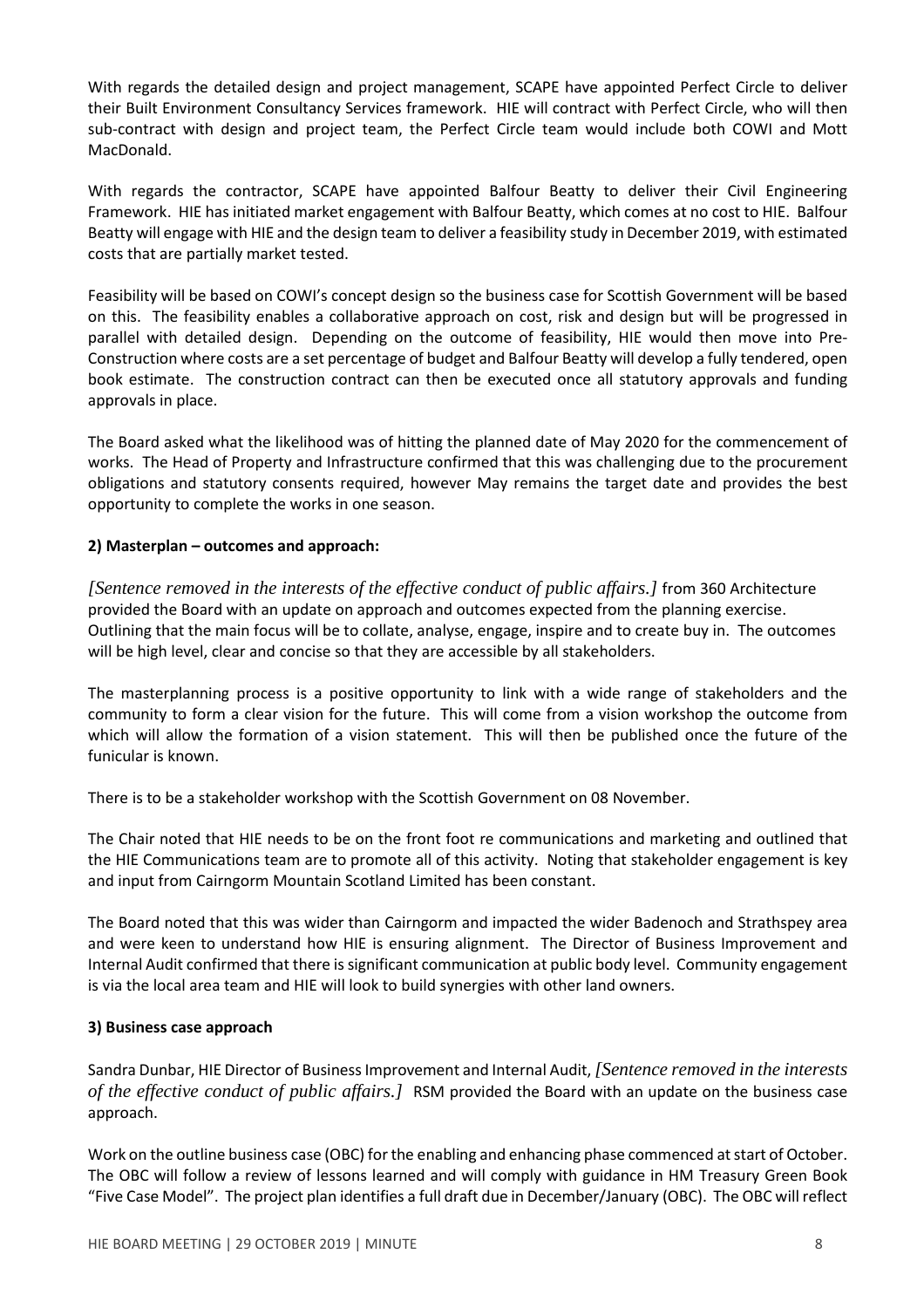With regards the detailed design and project management, SCAPE have appointed Perfect Circle to deliver their Built Environment Consultancy Services framework. HIE will contract with Perfect Circle, who will then sub-contract with design and project team, the Perfect Circle team would include both COWI and Mott MacDonald.

With regards the contractor, SCAPE have appointed Balfour Beatty to deliver their Civil Engineering Framework. HIE has initiated market engagement with Balfour Beatty, which comes at no cost to HIE. Balfour Beatty will engage with HIE and the design team to deliver a feasibility study in December 2019, with estimated costs that are partially market tested.

Feasibility will be based on COWI's concept design so the business case for Scottish Government will be based on this. The feasibility enables a collaborative approach on cost, risk and design but will be progressed in parallel with detailed design. Depending on the outcome of feasibility, HIE would then move into Pre-Construction where costs are a set percentage of budget and Balfour Beatty will develop a fully tendered, open book estimate. The construction contract can then be executed once all statutory approvals and funding approvals in place.

The Board asked what the likelihood was of hitting the planned date of May 2020 for the commencement of works. The Head of Property and Infrastructure confirmed that this was challenging due to the procurement obligations and statutory consents required, however May remains the target date and provides the best opportunity to complete the works in one season.

### **2) Masterplan – outcomes and approach:**

*[Sentence removed in the interests of the effective conduct of public affairs.]* from 360 Architecture provided the Board with an update on approach and outcomes expected from the planning exercise. Outlining that the main focus will be to collate, analyse, engage, inspire and to create buy in. The outcomes will be high level, clear and concise so that they are accessible by all stakeholders.

The masterplanning process is a positive opportunity to link with a wide range of stakeholders and the community to form a clear vision for the future. This will come from a vision workshop the outcome from which will allow the formation of a vision statement. This will then be published once the future of the funicular is known.

There is to be a stakeholder workshop with the Scottish Government on 08 November.

The Chair noted that HIE needs to be on the front foot re communications and marketing and outlined that the HIE Communications team are to promote all of this activity. Noting that stakeholder engagement is key and input from Cairngorm Mountain Scotland Limited has been constant.

The Board noted that this was wider than Cairngorm and impacted the wider Badenoch and Strathspey area and were keen to understand how HIE is ensuring alignment. The Director of Business Improvement and Internal Audit confirmed that there issignificant communication at public body level. Community engagement is via the local area team and HIE will look to build synergies with other land owners.

# **3) Business case approach**

Sandra Dunbar, HIE Director of BusinessImprovement and Internal Audit,*[Sentence removed in the interests of the effective conduct of public affairs.]* RSM provided the Board with an update on the business case approach.

Work on the outline business case (OBC) for the enabling and enhancing phase commenced at start of October. The OBC will follow a review of lessons learned and will comply with guidance in HM Treasury Green Book "Five Case Model". The project plan identifies a full draft due in December/January (OBC). The OBC will reflect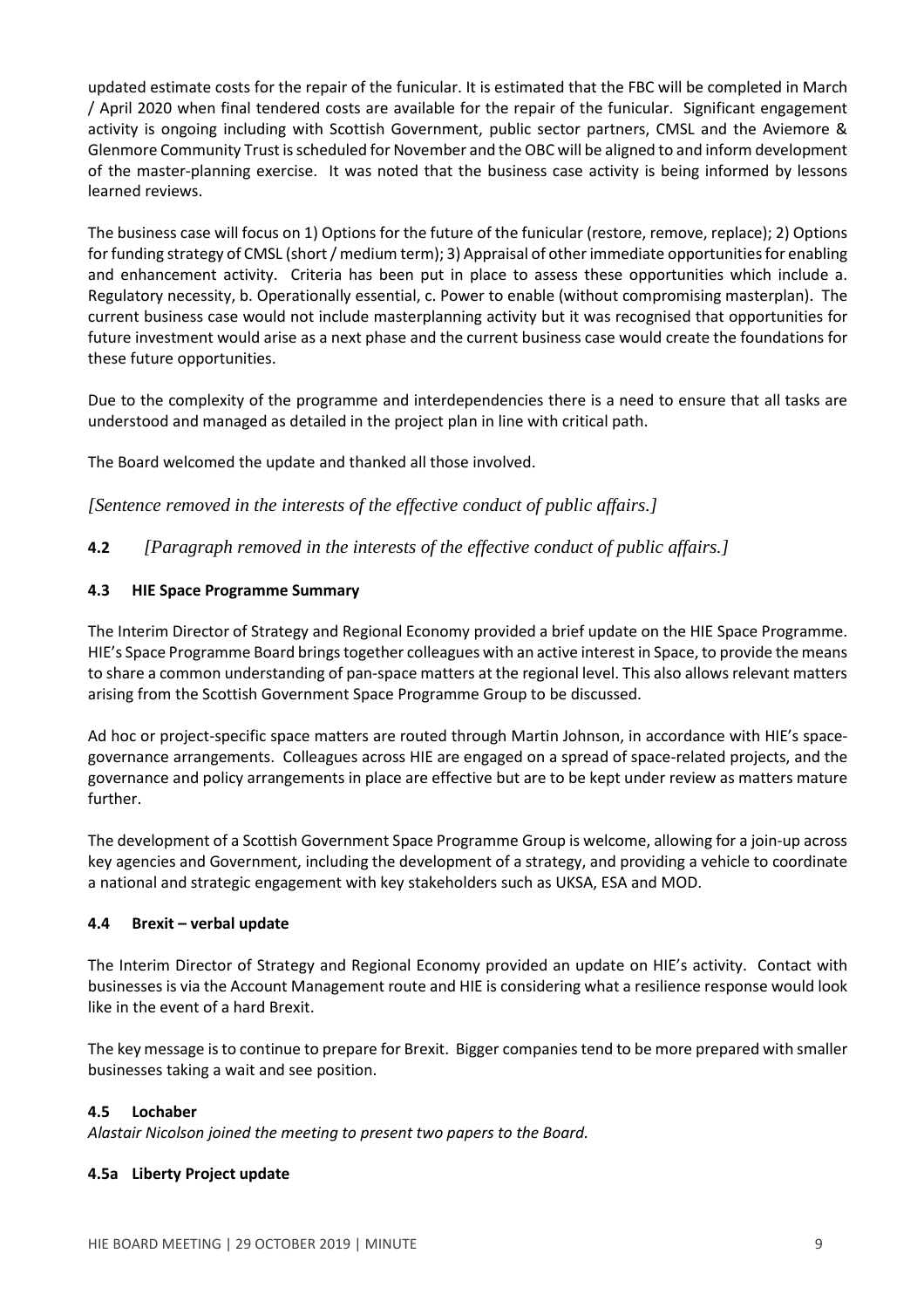updated estimate costs for the repair of the funicular. It is estimated that the FBC will be completed in March / April 2020 when final tendered costs are available for the repair of the funicular. Significant engagement activity is ongoing including with Scottish Government, public sector partners, CMSL and the Aviemore & Glenmore Community Trust isscheduled for November and the OBC will be aligned to and inform development of the master-planning exercise. It was noted that the business case activity is being informed by lessons learned reviews.

The business case will focus on 1) Options for the future of the funicular (restore, remove, replace); 2) Options for funding strategy of CMSL (short / medium term); 3) Appraisal of other immediate opportunities for enabling and enhancement activity. Criteria has been put in place to assess these opportunities which include a. Regulatory necessity, b. Operationally essential, c. Power to enable (without compromising masterplan). The current business case would not include masterplanning activity but it was recognised that opportunities for future investment would arise as a next phase and the current business case would create the foundations for these future opportunities.

Due to the complexity of the programme and interdependencies there is a need to ensure that all tasks are understood and managed as detailed in the project plan in line with critical path.

The Board welcomed the update and thanked all those involved.

*[Sentence removed in the interests of the effective conduct of public affairs.]*

**4.2** *[Paragraph removed in the interests of the effective conduct of public affairs.]*

### **4.3 HIE Space Programme Summary**

The Interim Director of Strategy and Regional Economy provided a brief update on the HIE Space Programme. HIE's Space Programme Board brings together colleagues with an active interest in Space, to provide the means to share a common understanding of pan-space matters at the regional level. This also allows relevant matters arising from the Scottish Government Space Programme Group to be discussed.

Ad hoc or project-specific space matters are routed through Martin Johnson, in accordance with HIE's spacegovernance arrangements. Colleagues across HIE are engaged on a spread of space-related projects, and the governance and policy arrangements in place are effective but are to be kept under review as matters mature further.

The development of a Scottish Government Space Programme Group is welcome, allowing for a join-up across key agencies and Government, including the development of a strategy, and providing a vehicle to coordinate a national and strategic engagement with key stakeholders such as UKSA, ESA and MOD.

### **4.4 Brexit – verbal update**

The Interim Director of Strategy and Regional Economy provided an update on HIE's activity. Contact with businesses is via the Account Management route and HIE is considering what a resilience response would look like in the event of a hard Brexit.

The key message isto continue to prepare for Brexit. Bigger companies tend to be more prepared with smaller businesses taking a wait and see position.

### **4.5 Lochaber**

*Alastair Nicolson joined the meeting to present two papers to the Board.*

### **4.5a Liberty Project update**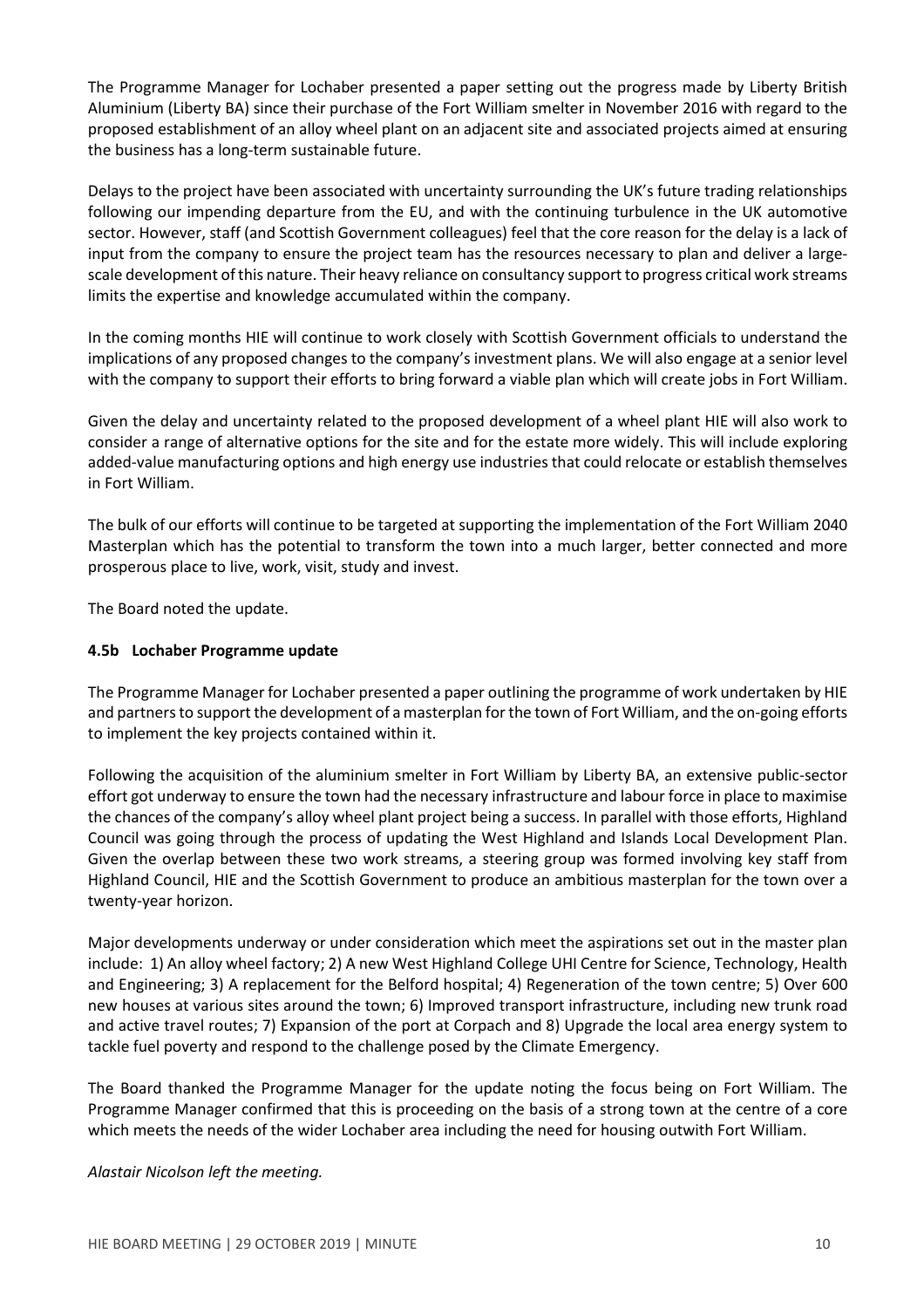The Programme Manager for Lochaber presented a paper setting out the progress made by Liberty British Aluminium (Liberty BA) since their purchase of the Fort William smelter in November 2016 with regard to the proposed establishment of an alloy wheel plant on an adjacent site and associated projects aimed at ensuring the business has a long-term sustainable future.

Delays to the project have been associated with uncertainty surrounding the UK's future trading relationships following our impending departure from the EU, and with the continuing turbulence in the UK automotive sector. However, staff (and Scottish Government colleagues) feel that the core reason for the delay is a lack of input from the company to ensure the project team has the resources necessary to plan and deliver a largescale development ofthis nature. Their heavy reliance on consultancy support to progress critical work streams limits the expertise and knowledge accumulated within the company.

In the coming months HIE will continue to work closely with Scottish Government officials to understand the implications of any proposed changes to the company's investment plans. We will also engage at a senior level with the company to support their efforts to bring forward a viable plan which will create jobs in Fort William.

Given the delay and uncertainty related to the proposed development of a wheel plant HIE will also work to consider a range of alternative options for the site and for the estate more widely. This will include exploring added-value manufacturing options and high energy use industries that could relocate or establish themselves in Fort William.

The bulk of our efforts will continue to be targeted at supporting the implementation of the Fort William 2040 Masterplan which has the potential to transform the town into a much larger, better connected and more prosperous place to live, work, visit, study and invest.

The Board noted the update.

### **4.5b Lochaber Programme update**

The Programme Manager for Lochaber presented a paper outlining the programme of work undertaken by HIE and partners to support the development of a masterplan for the town of Fort William, and the on-going efforts to implement the key projects contained within it.

Following the acquisition of the aluminium smelter in Fort William by Liberty BA, an extensive public-sector effort got underway to ensure the town had the necessary infrastructure and labour force in place to maximise the chances of the company's alloy wheel plant project being a success. In parallel with those efforts, Highland Council was going through the process of updating the West Highland and Islands Local Development Plan. Given the overlap between these two work streams, a steering group was formed involving key staff from Highland Council, HIE and the Scottish Government to produce an ambitious masterplan for the town over a twenty-year horizon.

Major developments underway or under consideration which meet the aspirations set out in the master plan include: 1) An alloy wheel factory; 2) A new West Highland College UHI Centre for Science, Technology, Health and Engineering; 3) A replacement for the Belford hospital; 4) Regeneration of the town centre; 5) Over 600 new houses at various sites around the town; 6) Improved transport infrastructure, including new trunk road and active travel routes; 7) Expansion of the port at Corpach and 8) Upgrade the local area energy system to tackle fuel poverty and respond to the challenge posed by the Climate Emergency.

The Board thanked the Programme Manager for the update noting the focus being on Fort William. The Programme Manager confirmed that this is proceeding on the basis of a strong town at the centre of a core which meets the needs of the wider Lochaber area including the need for housing outwith Fort William.

*Alastair Nicolson left the meeting.*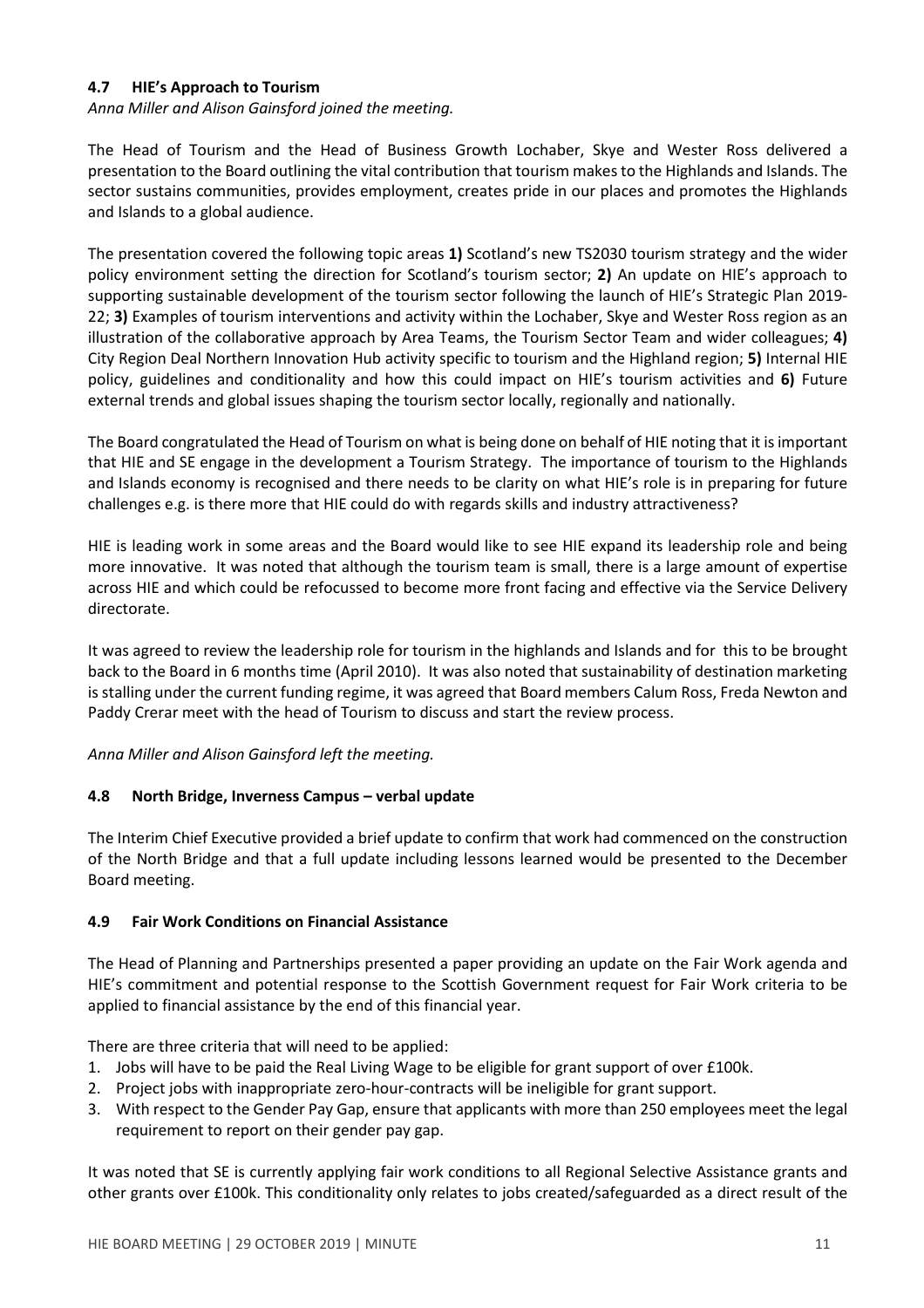### **4.7 HIE's Approach to Tourism**

*Anna Miller and Alison Gainsford joined the meeting.*

The Head of Tourism and the Head of Business Growth Lochaber, Skye and Wester Ross delivered a presentation to the Board outlining the vital contribution that tourism makesto the Highlands and Islands. The sector sustains communities, provides employment, creates pride in our places and promotes the Highlands and Islands to a global audience.

The presentation covered the following topic areas **1)** Scotland's new TS2030 tourism strategy and the wider policy environment setting the direction for Scotland's tourism sector; **2)** An update on HIE's approach to supporting sustainable development of the tourism sector following the launch of HIE's Strategic Plan 2019- 22; **3)** Examples of tourism interventions and activity within the Lochaber, Skye and Wester Ross region as an illustration of the collaborative approach by Area Teams, the Tourism Sector Team and wider colleagues; **4)** City Region Deal Northern Innovation Hub activity specific to tourism and the Highland region; **5)** Internal HIE policy, guidelines and conditionality and how this could impact on HIE's tourism activities and **6)** Future external trends and global issues shaping the tourism sector locally, regionally and nationally.

The Board congratulated the Head of Tourism on what is being done on behalf of HIE noting that it isimportant that HIE and SE engage in the development a Tourism Strategy. The importance of tourism to the Highlands and Islands economy is recognised and there needs to be clarity on what HIE's role is in preparing for future challenges e.g. is there more that HIE could do with regards skills and industry attractiveness?

HIE is leading work in some areas and the Board would like to see HIE expand its leadership role and being more innovative. It was noted that although the tourism team is small, there is a large amount of expertise across HIE and which could be refocussed to become more front facing and effective via the Service Delivery directorate.

It was agreed to review the leadership role for tourism in the highlands and Islands and for this to be brought back to the Board in 6 months time (April 2010). It was also noted that sustainability of destination marketing is stalling under the current funding regime, it was agreed that Board members Calum Ross, Freda Newton and Paddy Crerar meet with the head of Tourism to discuss and start the review process.

# *Anna Miller and Alison Gainsford left the meeting.*

### **4.8 North Bridge, Inverness Campus – verbal update**

The Interim Chief Executive provided a brief update to confirm that work had commenced on the construction of the North Bridge and that a full update including lessons learned would be presented to the December Board meeting.

# **4.9 Fair Work Conditions on Financial Assistance**

The Head of Planning and Partnerships presented a paper providing an update on the Fair Work agenda and HIE's commitment and potential response to the Scottish Government request for Fair Work criteria to be applied to financial assistance by the end of this financial year.

There are three criteria that will need to be applied:

- 1. Jobs will have to be paid the Real Living Wage to be eligible for grant support of over £100k.
- 2. Project jobs with inappropriate zero-hour-contracts will be ineligible for grant support.
- 3. With respect to the Gender Pay Gap, ensure that applicants with more than 250 employees meet the legal requirement to report on their gender pay gap.

It was noted that SE is currently applying fair work conditions to all Regional Selective Assistance grants and other grants over £100k. This conditionality only relates to jobs created/safeguarded as a direct result of the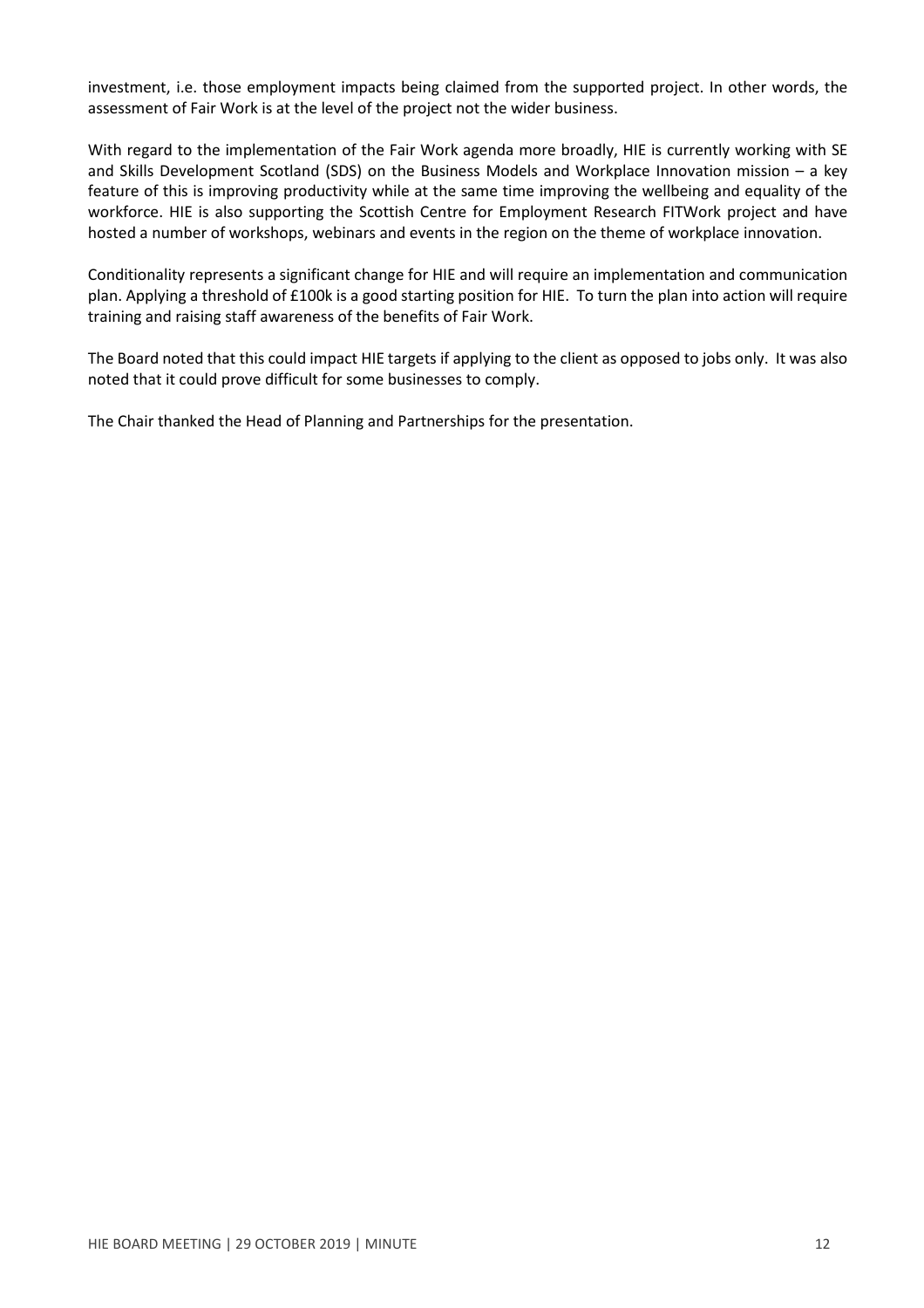investment, i.e. those employment impacts being claimed from the supported project. In other words, the assessment of Fair Work is at the level of the project not the wider business.

With regard to the implementation of the Fair Work agenda more broadly, HIE is currently working with SE and Skills Development Scotland (SDS) on the Business Models and Workplace Innovation mission – a key feature of this is improving productivity while at the same time improving the wellbeing and equality of the workforce. HIE is also supporting the Scottish Centre for Employment Research FITWork project and have hosted a number of workshops, webinars and events in the region on the theme of workplace innovation.

Conditionality represents a significant change for HIE and will require an implementation and communication plan. Applying a threshold of £100k is a good starting position for HIE. To turn the plan into action will require training and raising staff awareness of the benefits of Fair Work.

The Board noted that this could impact HIE targets if applying to the client as opposed to jobs only. It was also noted that it could prove difficult for some businesses to comply.

The Chair thanked the Head of Planning and Partnerships for the presentation.